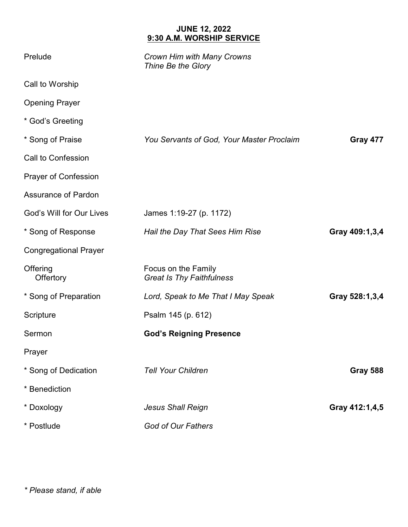## **JUNE 12, 2022 9:30 A.M. WORSHIP SERVICE**

| Prelude                      | Crown Him with Many Crowns<br>Thine Be the Glory        |                 |
|------------------------------|---------------------------------------------------------|-----------------|
| Call to Worship              |                                                         |                 |
| <b>Opening Prayer</b>        |                                                         |                 |
| * God's Greeting             |                                                         |                 |
| * Song of Praise             | You Servants of God, Your Master Proclaim               | Gray 477        |
| Call to Confession           |                                                         |                 |
| <b>Prayer of Confession</b>  |                                                         |                 |
| <b>Assurance of Pardon</b>   |                                                         |                 |
| God's Will for Our Lives     | James 1:19-27 (p. 1172)                                 |                 |
| * Song of Response           | Hail the Day That Sees Him Rise                         | Gray 409:1,3,4  |
| <b>Congregational Prayer</b> |                                                         |                 |
| Offering<br>Offertory        | Focus on the Family<br><b>Great Is Thy Faithfulness</b> |                 |
| * Song of Preparation        | Lord, Speak to Me That I May Speak                      | Gray 528:1,3,4  |
| Scripture                    | Psalm 145 (p. 612)                                      |                 |
| Sermon                       | <b>God's Reigning Presence</b>                          |                 |
| Prayer                       |                                                         |                 |
| * Song of Dedication         | <b>Tell Your Children</b>                               | <b>Gray 588</b> |
| * Benediction                |                                                         |                 |
| * Doxology                   | <b>Jesus Shall Reign</b>                                | Gray 412:1,4,5  |
| * Postlude                   | God of Our Fathers                                      |                 |